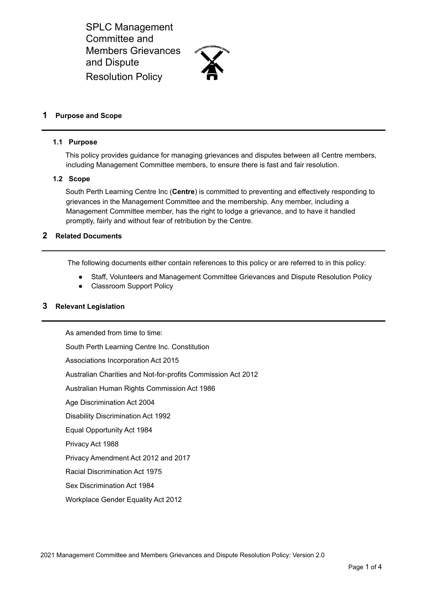

## **1 Purpose and Scope**

#### **1.1 Purpose**

This policy provides guidance for managing grievances and disputes between all Centre members, including Management Committee members, to ensure there is fast and fair resolution.

#### **1.2 Scope**

South Perth Learning Centre Inc (**Centre**) is committed to preventing and effectively responding to grievances in the Management Committee and the membership. Any member, including a Management Committee member, has the right to lodge a grievance, and to have it handled promptly, fairly and without fear of retribution by the Centre.

### **2 Related Documents**

The following documents either contain references to this policy or are referred to in this policy:

- Staff, Volunteers and Management Committee Grievances and Dispute Resolution Policy
- **Classroom Support Policy**

### **3 Relevant Legislation**

As amended from time to time:

South Perth Learning Centre Inc. Constitution

Associations Incorporation Act 2015

Australian Charities and Not-for-profits Commission Act 2012

Australian Human Rights Commission Act 1986

Age Discrimination Act 2004

Disability Discrimination Act 1992

Equal Opportunity Act 1984

Privacy Act 1988

Privacy Amendment Act 2012 and 2017

Racial Discrimination Act 1975

Sex Discrimination Act 1984

Workplace Gender Equality Act 2012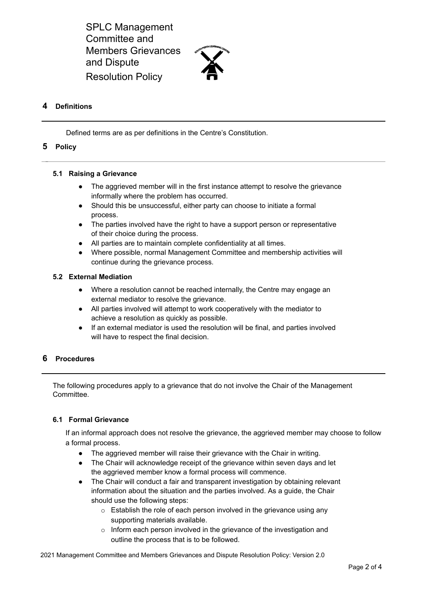

## **4 Definitions**

Defined terms are as per definitions in the Centre's Constitution.

#### **5 Policy**

#### **5.1 Raising a Grievance**

- The aggrieved member will in the first instance attempt to resolve the grievance informally where the problem has occurred.
- Should this be unsuccessful, either party can choose to initiate a formal process.
- The parties involved have the right to have a support person or representative of their choice during the process.
- All parties are to maintain complete confidentiality at all times.
- Where possible, normal Management Committee and membership activities will continue during the grievance process.

### **5.2 External Mediation**

- Where a resolution cannot be reached internally, the Centre may engage an external mediator to resolve the grievance.
- All parties involved will attempt to work cooperatively with the mediator to achieve a resolution as quickly as possible.
- If an external mediator is used the resolution will be final, and parties involved will have to respect the final decision.

## **6 Procedures**

The following procedures apply to a grievance that do not involve the Chair of the Management Committee.

### **6.1 Formal Grievance**

If an informal approach does not resolve the grievance, the aggrieved member may choose to follow a formal process.

- The aggrieved member will raise their grievance with the Chair in writing.
- The Chair will acknowledge receipt of the grievance within seven days and let the aggrieved member know a formal process will commence.
- The Chair will conduct a fair and transparent investigation by obtaining relevant information about the situation and the parties involved. As a guide, the Chair should use the following steps:
	- o Establish the role of each person involved in the grievance using any supporting materials available.
	- o Inform each person involved in the grievance of the investigation and outline the process that is to be followed.

2021 Management Committee and Members Grievances and Dispute Resolution Policy: Version 2.0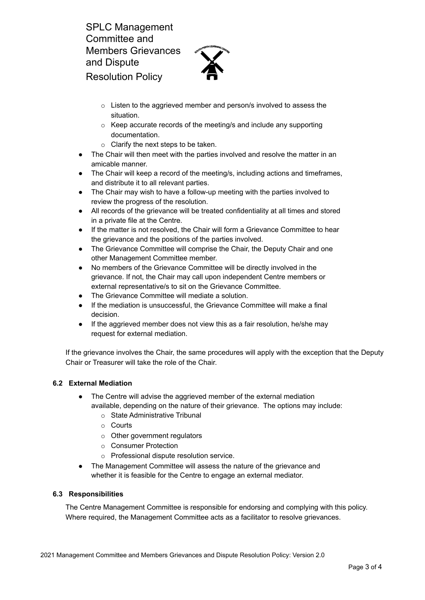

- o Listen to the aggrieved member and person/s involved to assess the situation.
- o Keep accurate records of the meeting/s and include any supporting documentation.
- o Clarify the next steps to be taken.
- The Chair will then meet with the parties involved and resolve the matter in an amicable manner.
- The Chair will keep a record of the meeting/s, including actions and timeframes, and distribute it to all relevant parties.
- The Chair may wish to have a follow-up meeting with the parties involved to review the progress of the resolution.
- All records of the grievance will be treated confidentiality at all times and stored in a private file at the Centre.
- If the matter is not resolved, the Chair will form a Grievance Committee to hear the grievance and the positions of the parties involved.
- The Grievance Committee will comprise the Chair, the Deputy Chair and one other Management Committee member.
- No members of the Grievance Committee will be directly involved in the grievance. If not, the Chair may call upon independent Centre members or external representative/s to sit on the Grievance Committee.
- The Grievance Committee will mediate a solution.
- If the mediation is unsuccessful, the Grievance Committee will make a final decision.
- If the aggrieved member does not view this as a fair resolution, he/she may request for external mediation.

If the grievance involves the Chair, the same procedures will apply with the exception that the Deputy Chair or Treasurer will take the role of the Chair.

## **6.2 External Mediation**

- The Centre will advise the aggrieved member of the external mediation available, depending on the nature of their grievance. The options may include:
	- o State Administrative Tribunal
	- o Courts
	- o Other government regulators
	- o Consumer Protection
	- o Professional dispute resolution service.
- The Management Committee will assess the nature of the grievance and whether it is feasible for the Centre to engage an external mediator.

## **6.3 Responsibilities**

The Centre Management Committee is responsible for endorsing and complying with this policy. Where required, the Management Committee acts as a facilitator to resolve grievances.